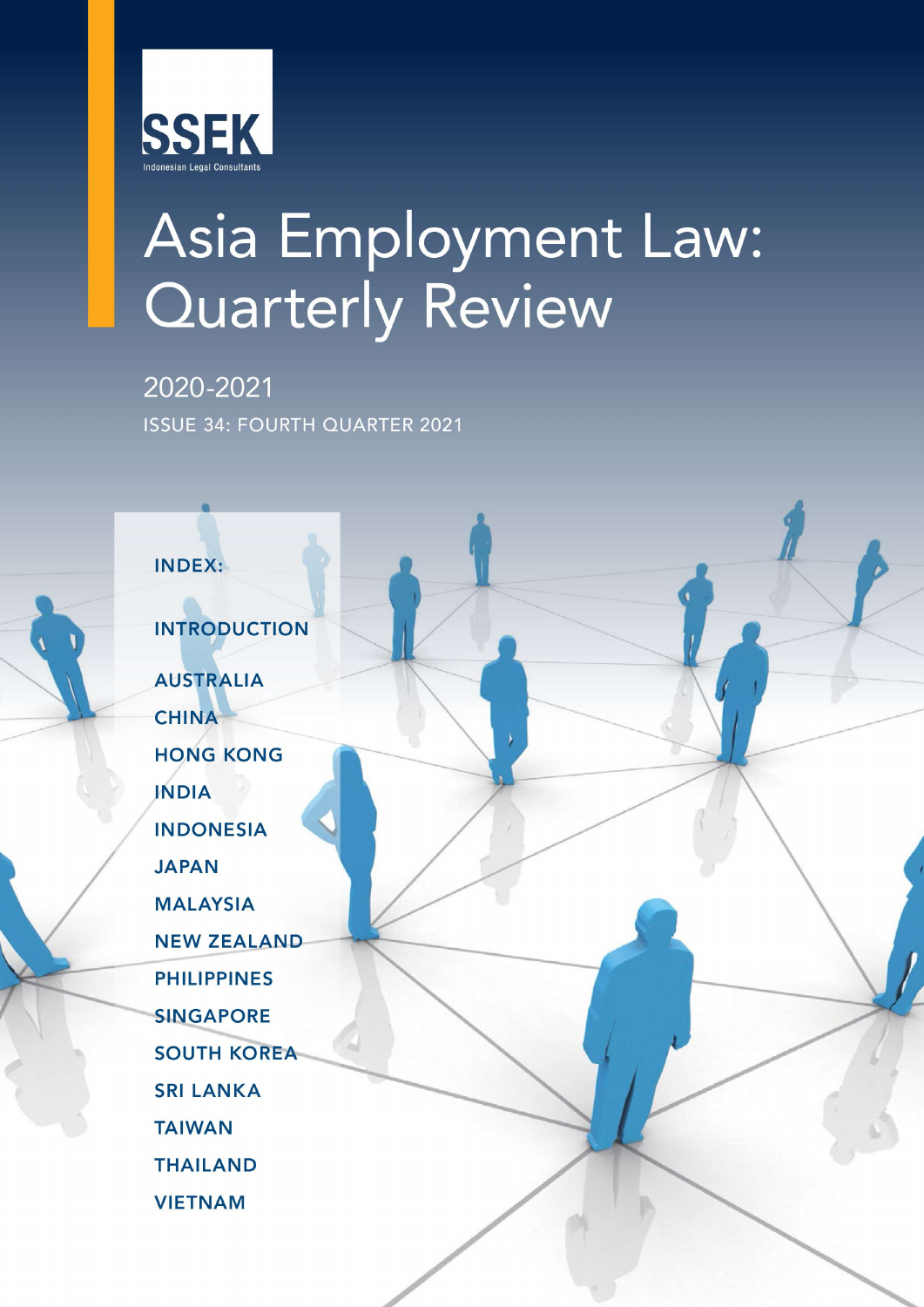

# Asia Employment Law: **Quarterly Review**

2020-2021 **ISSUE 34: FOURTH QUARTER 2021** 

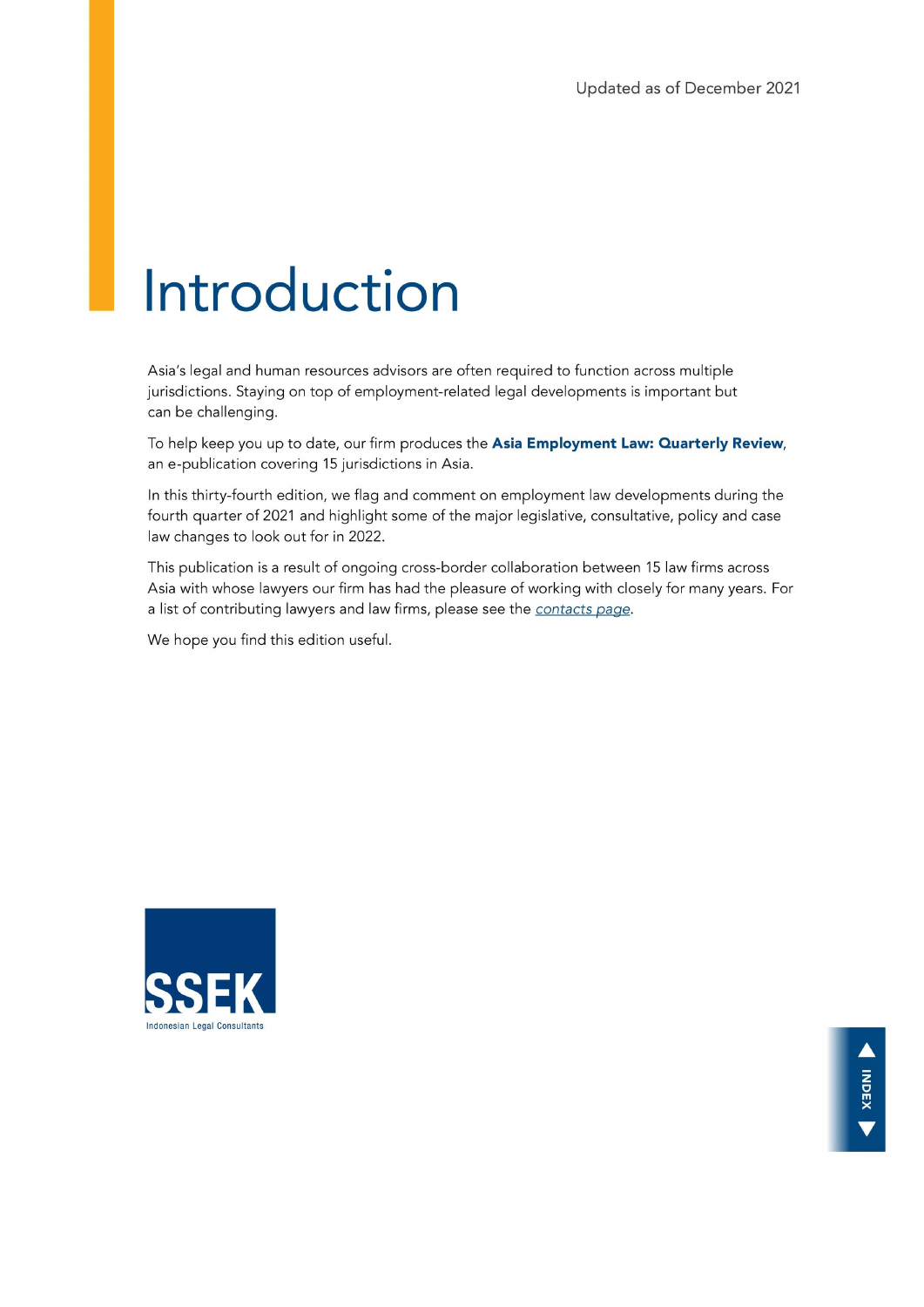## Introduction

Asia's legal and human resources advisors are often required to function across multiple jurisdictions. Staying on top of employment-related legal developments is important but can be challenging.

To help keep you up to date, our firm produces the Asia Employment Law: Quarterly Review, an e-publication covering 15 jurisdictions in Asia.

In this thirty-fourth edition, we flag and comment on employment law developments during the fourth quarter of 2021 and highlight some of the major legislative, consultative, policy and case law changes to look out for in 2022.

This publication is a result of ongoing cross-border collaboration between 15 law firms across Asia with whose lawyers our firm has had the pleasure of working with closely for many years. For a list of contributing lawyers and law firms, please see the contacts page.

We hope you find this edition useful.

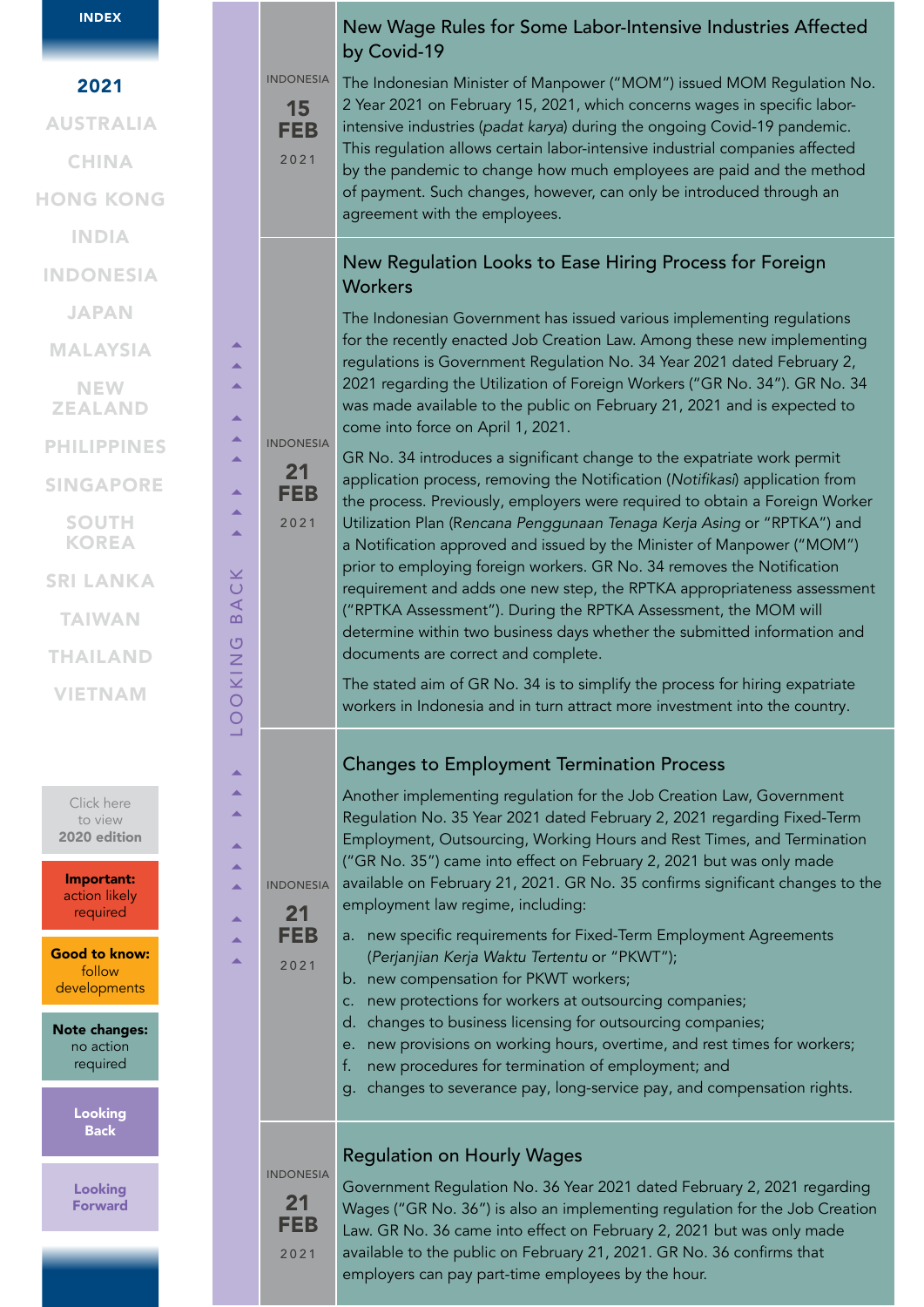|  | <b>INDEX</b> |  |
|--|--------------|--|
|  |              |  |

| 2021                                           |                | <b>INDONESIA</b>                     |
|------------------------------------------------|----------------|--------------------------------------|
|                                                |                | 15                                   |
| <b>AUSTRALIA</b>                               |                | <b>FEB</b>                           |
| <b>CHINA</b>                                   |                | 2021                                 |
| <b>HONG KONG</b>                               |                |                                      |
| <b>INDIA</b>                                   |                |                                      |
| <b>INDONESIA</b>                               |                |                                      |
| <b>JAPAN</b>                                   |                |                                      |
| <b>MALAYSIA</b>                                | ▲              |                                      |
| <b>NEW</b><br><b>ZEALAND</b>                   | ▲<br>▲         |                                      |
| <b>PHILIPPINES</b>                             | ▲<br>▲         | <b>INDONESIA</b>                     |
| <b>SINGAPORE</b>                               | ▲              | 21<br><b>FEB</b>                     |
| <b>SOUTH</b><br><b>KOREA</b>                   | ▲<br>▲         | 2021                                 |
| <b>SRI LANKA</b>                               |                |                                      |
| <b>TAIWAN</b>                                  | BACK           |                                      |
| <b>THAILAND</b>                                |                |                                      |
| <b>VIETNAM</b>                                 | <b>LOOKING</b> |                                      |
|                                                |                |                                      |
|                                                |                |                                      |
| Click here<br>to view<br>2020 edition          |                |                                      |
| Important:<br>action likely<br>required        |                | <b>INDONESIA</b><br>21               |
| <b>Good to know:</b><br>follow<br>developments |                | <b>FEB</b><br>2021                   |
| <b>Note changes:</b><br>no action<br>required  |                |                                      |
| Looking<br><b>Back</b>                         |                |                                      |
| <b>Looking</b><br><b>Forward</b>               |                | <b>INDONESIA</b><br>21<br><b>FEB</b> |
|                                                |                | 2021                                 |
|                                                |                |                                      |

### New Wage Rules for Some Labor-Intensive Industries Affected by Covid-19

The Indonesian Minister of Manpower ("MOM") issued MOM Regulation No. 2 Year 2021 on February 15, 2021, which concerns wages in specific laborintensive industries (*padat karya*) during the ongoing Covid-19 pandemic. This regulation allows certain labor-intensive industrial companies affected by the pandemic to change how much employees are paid and the method of payment. Such changes, however, can only be introduced through an agreement with the employees.

#### New Regulation Looks to Ease Hiring Process for Foreign **Workers**

The Indonesian Government has issued various implementing regulations for the recently enacted Job Creation Law. Among these new implementing regulations is Government Regulation No. 34 Year 2021 dated February 2, 2021 regarding the Utilization of Foreign Workers ("GR No. 34"). GR No. 34 was made available to the public on February 21, 2021 and is expected to come into force on April 1, 2021.

GR No. 34 introduces a significant change to the expatriate work permit application process, removing the Notification (Notifikasi) application from the process. Previously, employers were required to obtain a Foreign Worker Utilization Plan (Rencana Penggunaan Tenaga Kerja Asing or "RPTKA") and a Notification approved and issued by the Minister of Manpower ("MOM") prior to employing foreign workers. GR No. 34 removes the Notification requirement and adds one new step, the RPTKA appropriateness assessment ("RPTKA Assessment"). During the RPTKA Assessment, the MOM will determine within two business days whether the submitted information and documents are correct and complete.

The stated aim of GR No. 34 is to simplify the process for hiring expatriate workers in Indonesia and in turn attract more investment into the country.

#### Changes to Employment Termination Process

Another implementing regulation for the Job Creation Law, Government Regulation No. 35 Year 2021 dated February 2, 2021 regarding Fixed-Term Employment, Outsourcing, Working Hours and Rest Times, and Termination ("GR No. 35") came into effect on February 2, 2021 but was only made available on February 21, 2021. GR No. 35 confirms significant changes to the employment law regime, including:

- a. new specific requirements for Fixed-Term Employment Agreements (Perjanjian Kerja Waktu Tertentu or "PKWT");
- b. new compensation for PKWT workers;
- c. new protections for workers at outsourcing companies;
- d. changes to business licensing for outsourcing companies;
- e. new provisions on working hours, overtime, and rest times for workers;
- f. new procedures for termination of employment; and
- g. changes to severance pay, long-service pay, and compensation rights.

#### Regulation on Hourly Wages

Government Regulation No. 36 Year 2021 dated February 2, 2021 regarding Wages ("GR No. 36") is also an implementing regulation for the Job Creation Law. GR No. 36 came into effect on February 2, 2021 but was only made available to the public on February 21, 2021. GR No. 36 confirms that employers can pay part-time employees by the hour.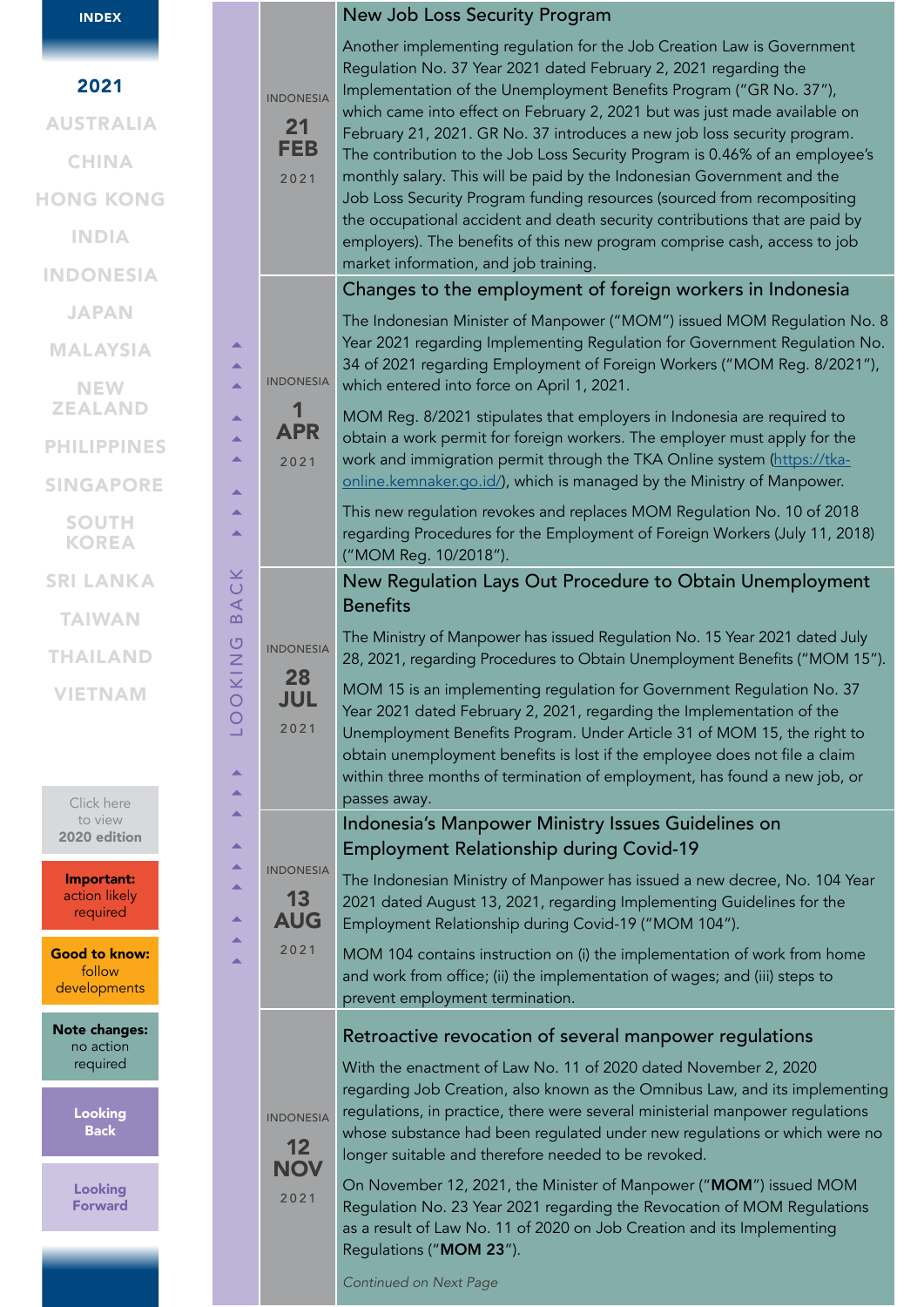| <b>INDEX</b>                                   |                                                  |                                      | New Job Loss Security Program                                                                                                                                                                                                                                                                                                                                                                        |
|------------------------------------------------|--------------------------------------------------|--------------------------------------|------------------------------------------------------------------------------------------------------------------------------------------------------------------------------------------------------------------------------------------------------------------------------------------------------------------------------------------------------------------------------------------------------|
| 2021<br><b>AUSTRALIA</b>                       |                                                  | <b>INDONESIA</b><br>21               | Another implementing regulation for the Job Creation Law is Government<br>Regulation No. 37 Year 2021 dated February 2, 2021 regarding the<br>Implementation of the Unemployment Benefits Program ("GR No. 37"),<br>which came into effect on February 2, 2021 but was just made available on<br>February 21, 2021. GR No. 37 introduces a new job loss security program.                            |
| <b>CHINA</b>                                   |                                                  | <b>FEB</b>                           | The contribution to the Job Loss Security Program is 0.46% of an employee's                                                                                                                                                                                                                                                                                                                          |
| <b>HONG KONG</b>                               |                                                  | 2021                                 | monthly salary. This will be paid by the Indonesian Government and the<br>Job Loss Security Program funding resources (sourced from recompositing                                                                                                                                                                                                                                                    |
| <b>INDIA</b>                                   |                                                  |                                      | the occupational accident and death security contributions that are paid by<br>employers). The benefits of this new program comprise cash, access to job                                                                                                                                                                                                                                             |
| <b>INDONESIA</b>                               |                                                  |                                      | market information, and job training.                                                                                                                                                                                                                                                                                                                                                                |
| <b>JAPAN</b>                                   |                                                  |                                      | Changes to the employment of foreign workers in Indonesia                                                                                                                                                                                                                                                                                                                                            |
| <b>MALAYSIA</b>                                |                                                  |                                      | The Indonesian Minister of Manpower ("MOM") issued MOM Regulation No. 8<br>Year 2021 regarding Implementing Regulation for Government Regulation No.<br>34 of 2021 regarding Employment of Foreign Workers ("MOM Reg. 8/2021"),                                                                                                                                                                      |
| <b>NEW</b><br><b>ZEALAND</b>                   | ▲<br>▲                                           | <b>INDONESIA</b><br>1                | which entered into force on April 1, 2021.<br>MOM Reg. 8/2021 stipulates that employers in Indonesia are required to                                                                                                                                                                                                                                                                                 |
| <b>PHILIPPINES</b>                             | ▲<br>▲                                           | <b>APR</b><br>2021                   | obtain a work permit for foreign workers. The employer must apply for the<br>work and immigration permit through the TKA Online system (https://tka-                                                                                                                                                                                                                                                 |
| <b>SINGAPORE</b>                               | ▲                                                |                                      | online.kemnaker.go.id/), which is managed by the Ministry of Manpower.                                                                                                                                                                                                                                                                                                                               |
| <b>SOUTH</b><br><b>KOREA</b>                   | ▲                                                |                                      | This new regulation revokes and replaces MOM Regulation No. 10 of 2018<br>regarding Procedures for the Employment of Foreign Workers (July 11, 2018)<br>("MOM Reg. 10/2018").                                                                                                                                                                                                                        |
| <b>SRI LANKA</b>                               | ×<br>$\cup$                                      |                                      | New Regulation Lays Out Procedure to Obtain Unemployment                                                                                                                                                                                                                                                                                                                                             |
| <b>TAIWAN</b>                                  | ⋖<br>D.                                          |                                      | <b>Benefits</b>                                                                                                                                                                                                                                                                                                                                                                                      |
| <b>THAILAND</b>                                | $\circ$<br>KIN                                   | <b>INDONESIA</b>                     | The Ministry of Manpower has issued Regulation No. 15 Year 2021 dated July<br>28, 2021, regarding Procedures to Obtain Unemployment Benefits ("MOM 15").                                                                                                                                                                                                                                             |
| <b>VIETNAM</b><br>Click here                   | $\circ$<br>$\circ$<br>⊐<br>$\blacktriangle$<br>▲ | 28<br>JUL<br>2021                    | MOM 15 is an implementing regulation for Government Regulation No. 37<br>Year 2021 dated February 2, 2021, regarding the Implementation of the<br>Unemployment Benefits Program. Under Article 31 of MOM 15, the right to<br>obtain unemployment benefits is lost if the employee does not file a claim<br>within three months of termination of employment, has found a new job, or<br>passes away. |
| to view<br>2020 edition                        | ▲<br>$\blacktriangle$                            |                                      | Indonesia's Manpower Ministry Issues Guidelines on<br><b>Employment Relationship during Covid-19</b>                                                                                                                                                                                                                                                                                                 |
| Important:<br>action likely<br>required        | ▲<br>▲<br>$\blacktriangle$                       | <b>INDONESIA</b><br>13<br><b>AUG</b> | The Indonesian Ministry of Manpower has issued a new decree, No. 104 Year<br>2021 dated August 13, 2021, regarding Implementing Guidelines for the<br>Employment Relationship during Covid-19 ("MOM 104").                                                                                                                                                                                           |
| <b>Good to know:</b><br>follow<br>developments | ▲                                                | ▲<br>2021                            | MOM 104 contains instruction on (i) the implementation of work from home<br>and work from office; (ii) the implementation of wages; and (iii) steps to<br>prevent employment termination.                                                                                                                                                                                                            |
| <b>Note changes:</b><br>no action              |                                                  |                                      | Retroactive revocation of several manpower regulations                                                                                                                                                                                                                                                                                                                                               |
| required                                       |                                                  |                                      | With the enactment of Law No. 11 of 2020 dated November 2, 2020                                                                                                                                                                                                                                                                                                                                      |
| <b>Looking</b><br><b>Back</b>                  |                                                  | <b>INDONESIA</b><br>12               | regarding Job Creation, also known as the Omnibus Law, and its implementing<br>regulations, in practice, there were several ministerial manpower regulations<br>whose substance had been regulated under new regulations or which were no<br>longer suitable and therefore needed to be revoked.                                                                                                     |
| <b>Looking</b><br><b>Forward</b>               |                                                  | <b>NOV</b><br>2021                   | On November 12, 2021, the Minister of Manpower ("MOM") issued MOM<br>Regulation No. 23 Year 2021 regarding the Revocation of MOM Regulations<br>as a result of Law No. 11 of 2020 on Job Creation and its Implementing<br>Regulations ("MOM 23").                                                                                                                                                    |
|                                                |                                                  |                                      | <b>Continued on Next Page</b>                                                                                                                                                                                                                                                                                                                                                                        |